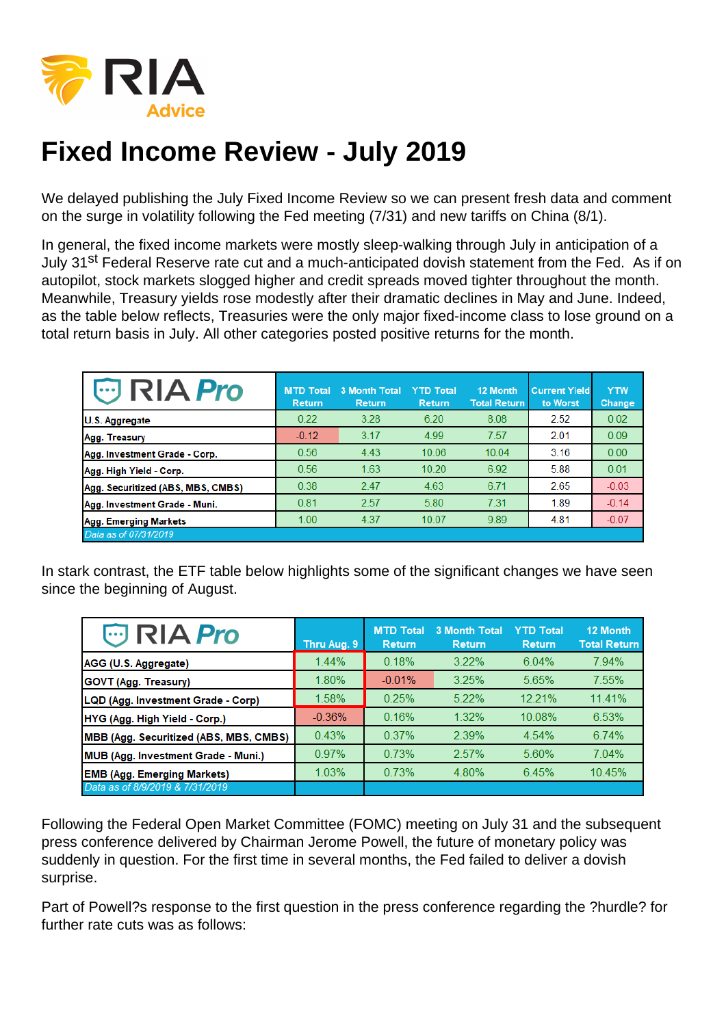## Fixed Income Review - July 2019

We delayed publishing the July Fixed Income Review so we can present fresh data and comment on the surge in volatility following the Fed meeting (7/31) and new tariffs on China (8/1).

In general, the fixed income markets were mostly sleep-walking through July in anticipation of a July 31<sup>st</sup> Federal Reserve rate cut and a much-anticipated dovish statement from the Fed. As if on autopilot, stock markets slogged higher and credit spreads moved tighter throughout the month. Meanwhile, Treasury yields rose modestly after their dramatic declines in May and June. Indeed, as the table below reflects, Treasuries were the only major fixed-income class to lose ground on a total return basis in July. All other categories posted positive returns for the month.

In stark contrast, the ETF table below highlights some of the significant changes we have seen since the beginning of August.

Following the Federal Open Market Committee (FOMC) meeting on July 31 and the subsequent press conference delivered by Chairman Jerome Powell, the future of monetary policy was suddenly in question. For the first time in several months, the Fed failed to deliver a dovish surprise.

Part of Powell?s response to the first question in the press conference regarding the ?hurdle? for further rate cuts was as follows: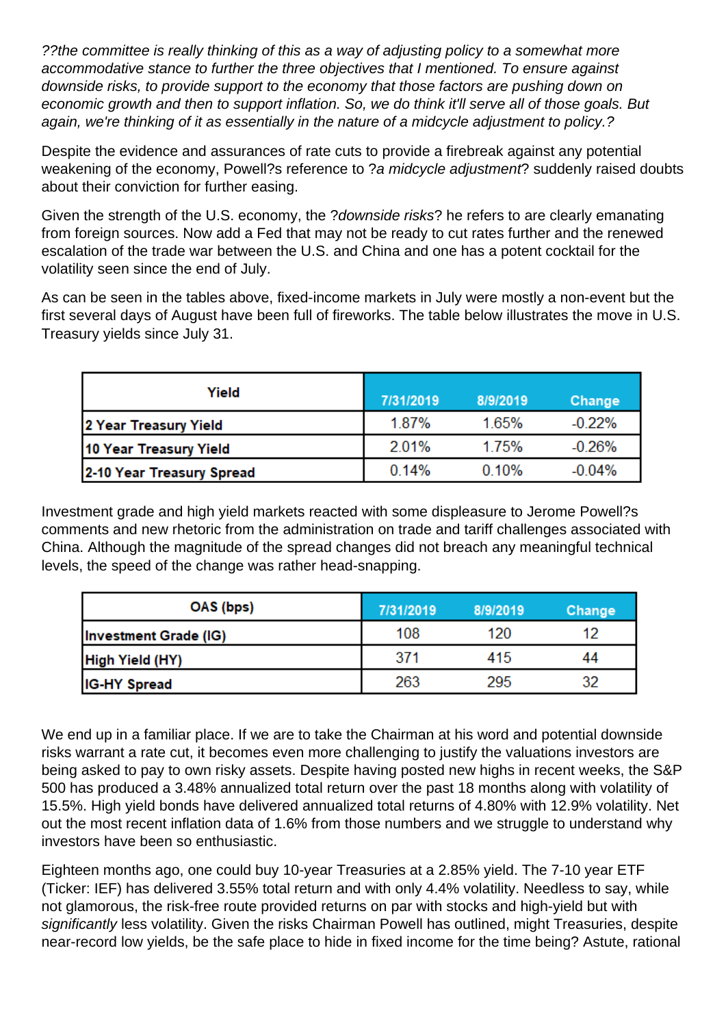??the committee is really thinking of this as a way of adjusting policy to a somewhat more accommodative stance to further the three objectives that I mentioned. To ensure against downside risks, to provide support to the economy that those factors are pushing down on economic growth and then to support inflation. So, we do think it'll serve all of those goals. But again, we're thinking of it as essentially in the nature of a midcycle adjustment to policy.?

Despite the evidence and assurances of rate cuts to provide a firebreak against any potential weakening of the economy, Powell?s reference to ?a midcycle adjustment? suddenly raised doubts about their conviction for further easing.

Given the strength of the U.S. economy, the ?downside risks? he refers to are clearly emanating from foreign sources. Now add a Fed that may not be ready to cut rates further and the renewed escalation of the trade war between the U.S. and China and one has a potent cocktail for the volatility seen since the end of July.

As can be seen in the tables above, fixed-income markets in July were mostly a non-event but the first several days of August have been full of fireworks. The table below illustrates the move in U.S. Treasury yields since July 31.

| Yield                     | 7/31/2019 | 8/9/2019 | Change   |
|---------------------------|-----------|----------|----------|
| 2 Year Treasury Yield     | 1.87%     | 1.65%    | $-0.22%$ |
| 10 Year Treasury Yield    | 2.01%     | 1.75%    | $-0.26%$ |
| 2-10 Year Treasury Spread | 0.14%     | 0.10%    | $-0.04%$ |

Investment grade and high yield markets reacted with some displeasure to Jerome Powell?s comments and new rhetoric from the administration on trade and tariff challenges associated with China. Although the magnitude of the spread changes did not breach any meaningful technical levels, the speed of the change was rather head-snapping.

| OAS (bps)             | 7/31/2019 | 8/9/2019 | Change |
|-----------------------|-----------|----------|--------|
| Investment Grade (IG) | 108       | 120      | 12     |
| High Yield (HY)       | 371       | 415      | 44     |
| <b>IG-HY Spread</b>   | 263       | 295      | 32     |

We end up in a familiar place. If we are to take the Chairman at his word and potential downside risks warrant a rate cut, it becomes even more challenging to justify the valuations investors are being asked to pay to own risky assets. Despite having posted new highs in recent weeks, the S&P 500 has produced a 3.48% annualized total return over the past 18 months along with volatility of 15.5%. High yield bonds have delivered annualized total returns of 4.80% with 12.9% volatility. Net out the most recent inflation data of 1.6% from those numbers and we struggle to understand why investors have been so enthusiastic.

Eighteen months ago, one could buy 10-year Treasuries at a 2.85% yield. The 7-10 year ETF (Ticker: IEF) has delivered 3.55% total return and with only 4.4% volatility. Needless to say, while not glamorous, the risk-free route provided returns on par with stocks and high-yield but with significantly less volatility. Given the risks Chairman Powell has outlined, might Treasuries, despite near-record low yields, be the safe place to hide in fixed income for the time being? Astute, rational